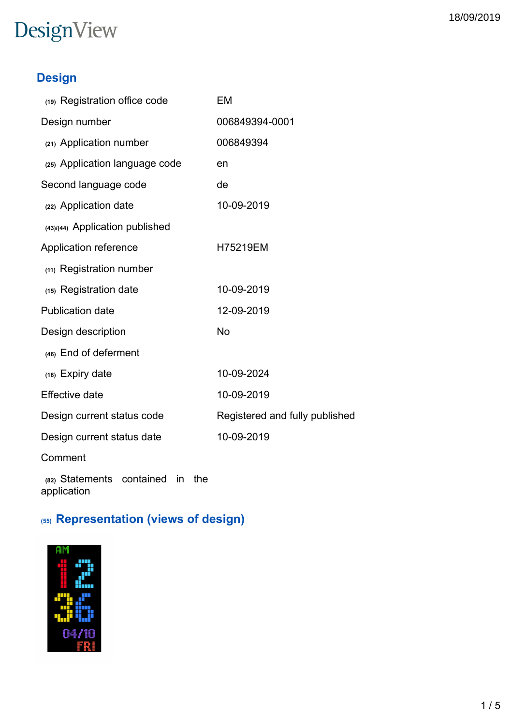### **Design**

| (19) Registration office code                         | EM                             |
|-------------------------------------------------------|--------------------------------|
| Design number                                         | 006849394-0001                 |
| (21) Application number                               | 006849394                      |
| (25) Application language code                        | en                             |
| Second language code                                  | de                             |
| (22) Application date                                 | 10-09-2019                     |
| (43)/(44) Application published                       |                                |
| Application reference                                 | H75219EM                       |
| (11) Registration number                              |                                |
| (15) Registration date                                | 10-09-2019                     |
| <b>Publication date</b>                               | 12-09-2019                     |
| Design description                                    | <b>No</b>                      |
| (46) End of deferment                                 |                                |
| (18) Expiry date                                      | 10-09-2024                     |
| <b>Effective date</b>                                 | 10-09-2019                     |
| Design current status code                            | Registered and fully published |
| Design current status date                            | 10-09-2019                     |
| Comment                                               |                                |
| (82) Statements contained<br>in<br>the<br>application |                                |

## **(55) Representation (views of design)**

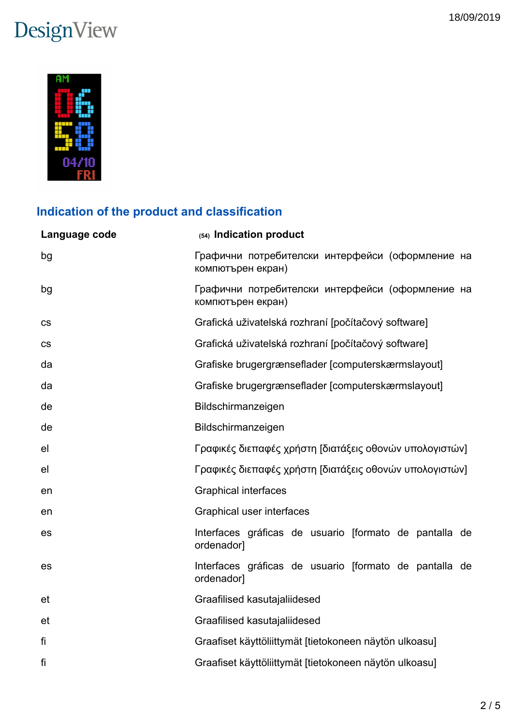

## **Indication of the product and classification**

| Language code | (54) Indication product                                               |  |  |
|---------------|-----------------------------------------------------------------------|--|--|
| bg            | Графични потребителски интерфейси (оформление на<br>компютърен екран) |  |  |
| bg            | Графични потребителски интерфейси (оформление на<br>компютърен екран) |  |  |
| <b>CS</b>     | Grafická uživatelská rozhraní [počítačový software]                   |  |  |
| CS            | Grafická uživatelská rozhraní [počítačový software]                   |  |  |
| da            | Grafiske brugergrænseflader [computerskærmslayout]                    |  |  |
| da            | Grafiske brugergrænseflader [computerskærmslayout]                    |  |  |
| de            | Bildschirmanzeigen                                                    |  |  |
| de            | Bildschirmanzeigen                                                    |  |  |
| el            | Γραφικές διεπαφές χρήστη [διατάξεις οθονών υπολογιστών]               |  |  |
| el            | Γραφικές διεπαφές χρήστη [διατάξεις οθονών υπολογιστών]               |  |  |
| en            | <b>Graphical interfaces</b>                                           |  |  |
| en            | Graphical user interfaces                                             |  |  |
| es            | Interfaces gráficas de usuario [formato de pantalla de<br>ordenador]  |  |  |
| es            | Interfaces gráficas de usuario [formato de pantalla de<br>ordenador]  |  |  |
| et            | Graafilised kasutajaliidesed                                          |  |  |
| et            | Graafilised kasutajaliidesed                                          |  |  |
| fi            | Graafiset käyttöliittymät [tietokoneen näytön ulkoasu]                |  |  |
| fi            | Graafiset käyttöliittymät [tietokoneen näytön ulkoasu]                |  |  |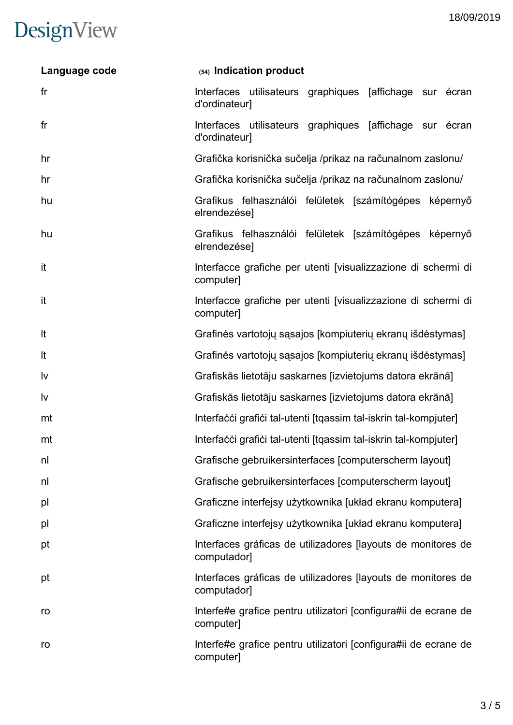| Language code  | (54) Indication product                                                      |
|----------------|------------------------------------------------------------------------------|
| f <sub>r</sub> | Interfaces utilisateurs graphiques [affichage sur écran]<br>d'ordinateur]    |
| fr             | Interfaces utilisateurs graphiques [affichage sur écran<br>d'ordinateur]     |
| hr             | Grafička korisnička sučelja /prikaz na računalnom zaslonu/                   |
| hr             | Grafička korisnička sučelja /prikaz na računalnom zaslonu/                   |
| hu             | Grafikus felhasználói felületek [számítógépes képernyő<br>elrendezése]       |
| hu             | Grafikus felhasználói felületek [számítógépes képernyő<br>elrendezése]       |
| it             | Interfacce grafiche per utenti [visualizzazione di schermi di<br>computer]   |
| it             | Interfacce grafiche per utenti [visualizzazione di schermi di<br>computer]   |
| It             | Grafinės vartotojų sąsajos [kompiuterių ekranų išdėstymas]                   |
| It             | Grafinės vartotojų sąsajos [kompiuterių ekranų išdėstymas]                   |
| Iv             | Grafiskās lietotāju saskarnes [izvietojums datora ekrānā]                    |
| Iv             | Grafiskās lietotāju saskarnes [izvietojums datora ekrānā]                    |
| mt             | Interfacci grafici tal-utenti [tqassim tal-iskrin tal-kompjuter]             |
| mt             | Interfacci grafici tal-utenti [tqassim tal-iskrin tal-kompjuter]             |
| nl             | Grafische gebruikersinterfaces [computerscherm layout]                       |
| nl             | Grafische gebruikersinterfaces [computerscherm layout]                       |
| pl             | Graficzne interfejsy użytkownika [układ ekranu komputera]                    |
| pl             | Graficzne interfejsy użytkownika [układ ekranu komputera]                    |
| pt             | Interfaces gráficas de utilizadores [layouts de monitores de<br>computador]  |
| pt             | Interfaces gráficas de utilizadores [layouts de monitores de<br>computador]  |
| ro             | Interfe#e grafice pentru utilizatori [configura#ii de ecrane de<br>computer] |
| ro             | Interfe#e grafice pentru utilizatori [configura#ii de ecrane de<br>computer] |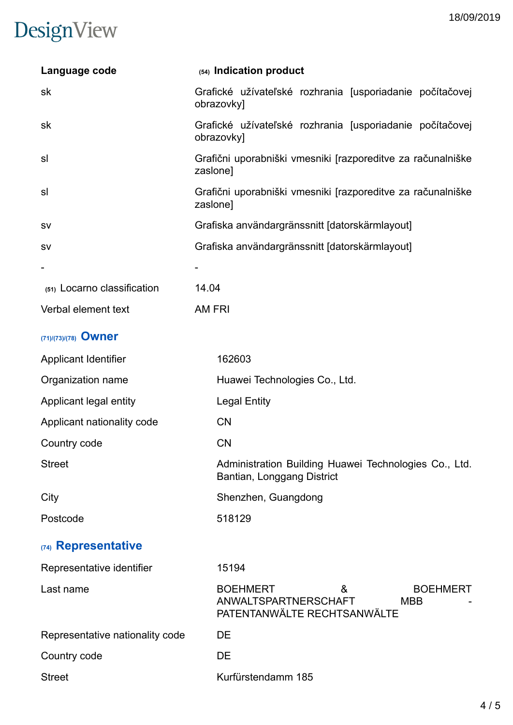| Language code                   | (54) Indication product                                                                                      |  |  |
|---------------------------------|--------------------------------------------------------------------------------------------------------------|--|--|
| sk                              | Grafické užívateľské rozhrania [usporiadanie počítačovej<br>obrazovky]                                       |  |  |
| sk                              | Grafické užívateľské rozhrania [usporiadanie počítačovej<br>obrazovky]                                       |  |  |
| sl                              | Grafični uporabniški vmesniki [razporeditve za računalniške<br>zaslone]                                      |  |  |
| sl                              | Grafični uporabniški vmesniki [razporeditve za računalniške<br>zaslone]                                      |  |  |
| <b>SV</b>                       | Grafiska användargränssnitt [datorskärmlayout]                                                               |  |  |
| <b>SV</b>                       | Grafiska användargränssnitt [datorskärmlayout]                                                               |  |  |
|                                 |                                                                                                              |  |  |
| (51) Locarno classification     | 14.04                                                                                                        |  |  |
| Verbal element text             | AM FRI                                                                                                       |  |  |
| (71)/(73)/(78) Owner            |                                                                                                              |  |  |
| Applicant Identifier            | 162603                                                                                                       |  |  |
| Organization name               | Huawei Technologies Co., Ltd.                                                                                |  |  |
| Applicant legal entity          | <b>Legal Entity</b>                                                                                          |  |  |
| Applicant nationality code      | CN                                                                                                           |  |  |
| Country code                    | <b>CN</b>                                                                                                    |  |  |
| <b>Street</b>                   | Administration Building Huawei Technologies Co., Ltd.<br>Bantian, Longgang District                          |  |  |
| City                            | Shenzhen, Guangdong                                                                                          |  |  |
| Postcode                        | 518129                                                                                                       |  |  |
| (74) Representative             |                                                                                                              |  |  |
| Representative identifier       | 15194                                                                                                        |  |  |
| Last name                       | <b>BOEHMERT</b><br><b>BOEHMERT</b><br>&<br>ANWALTSPARTNERSCHAFT<br><b>MBB</b><br>PATENTANWÄLTE RECHTSANWÄLTE |  |  |
| Representative nationality code | DE                                                                                                           |  |  |
| Country code                    | <b>DE</b>                                                                                                    |  |  |
| <b>Street</b>                   | Kurfürstendamm 185                                                                                           |  |  |